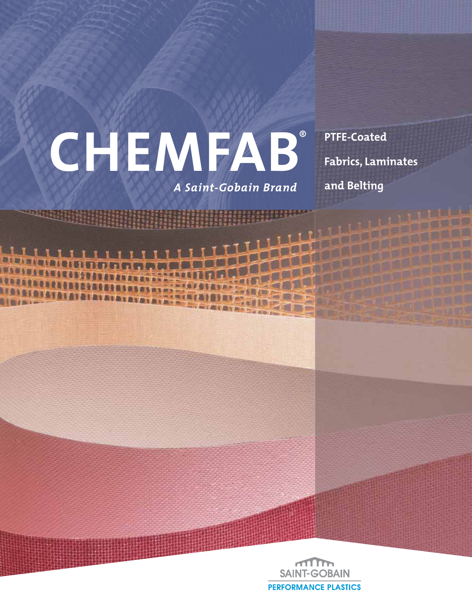# **CHEMFAB**® **PTFE-Coated Fabrics, Laminates**

*A Saint-Gobain Brand*

**and Belting**

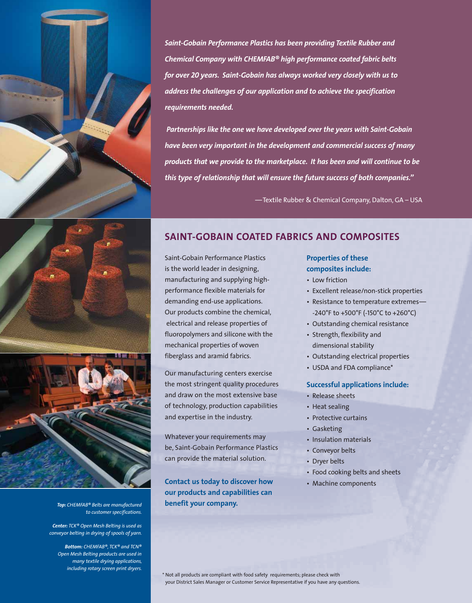

*Saint-Gobain Performance Plastics has been providing Textile Rubber and Chemical Company with CHEMFAB® high performance coated fabric belts for over 20 years. Saint-Gobain has always worked very closely with us to address the challenges of our application and to achieve the specification requirements needed.* 

 *Partnerships like the one we have developed over the years with Saint-Gobain have been very important in the development and commercial success of many products that we provide to the marketplace. It has been and will continue to be this type of relationship that will ensure the future success of both companies."*

—Textile Rubber & Chemical Company, Dalton, GA – USA





*Top: CHEMFAB® Belts are manufactured to customer specifications.*

*Center: TCK® Open Mesh Belting is used as conveyor belting in drying of spools of yarn.*

*Bottom: CHEMFAB®, TCK® and TCN® Open Mesh Belting products are used in many textile drying applications, including rotary screen print dryers.*

# **SAINT-GOBAIN COATED FABRICS AND COMPOSITES**

Saint-Gobain Performance Plastics is the world leader in designing, manufacturing and supplying highperformance flexible materials for demanding end-use applications. Our products combine the chemical, electrical and release properties of fluoropolymers and silicone with the mechanical properties of woven fiberglass and aramid fabrics.

Our manufacturing centers exercise the most stringent quality procedures and draw on the most extensive base of technology, production capabilities and expertise in the industry.

Whatever your requirements may be, Saint-Gobain Performance Plastics can provide the material solution.

**Contact us today to discover how our products and capabilities can benefit your company.**

#### **Properties of these composites include:**

- Low friction
- Excellent release/non-stick properties
- Resistance to temperature extremes— -240°F to +500°F (-150°C to +260°C)
- Outstanding chemical resistance
- Strength, flexibility and dimensional stability
- Outstanding electrical properties
- USDA and FDA compliance\*

#### **Successful applications include:**

- Release sheets
- Heat sealing
- Protective curtains
- Gasketing
- Insulation materials
- Conveyor belts
- Dryer belts
- Food cooking belts and sheets
- Machine components

\* Not all products are compliant with food safety requirements; please check with your District Sales Manager or Customer Service Representative if you have any questions.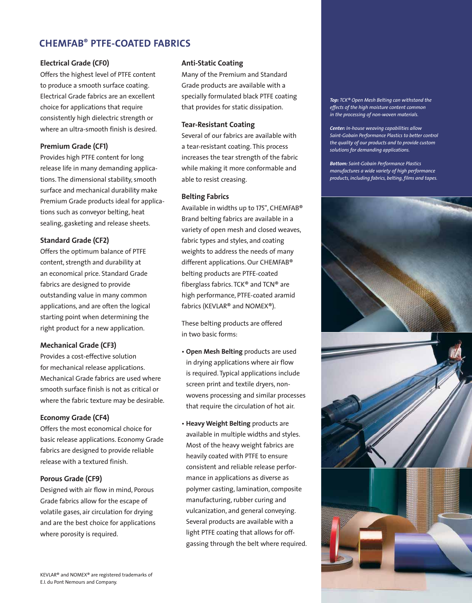# **CHEMFAB® PTFE-COATED FABRICS**

#### **Electrical Grade (CF0)**

Offers the highest level of PTFE content to produce a smooth surface coating. Electrical Grade fabrics are an excellent choice for applications that require consistently high dielectric strength or where an ultra-smooth finish is desired.

#### **Premium Grade (CF1)**

Provides high PTFE content for long release life in many demanding applications. The dimensional stability, smooth surface and mechanical durability make Premium Grade products ideal for applications such as conveyor belting, heat sealing, gasketing and release sheets.

#### **Standard Grade (CF2)**

Offers the optimum balance of PTFE content, strength and durability at an economical price. Standard Grade fabrics are designed to provide outstanding value in many common applications, and are often the logical starting point when determining the right product for a new application.

#### **Mechanical Grade (CF3)**

Provides a cost-effective solution for mechanical release applications. Mechanical Grade fabrics are used where smooth surface finish is not as critical or where the fabric texture may be desirable.

#### **Economy Grade (CF4)**

Offers the most economical choice for basic release applications. Economy Grade fabrics are designed to provide reliable release with a textured finish.

#### **Porous Grade (CF9)**

Designed with air flow in mind, Porous Grade fabrics allow for the escape of volatile gases, air circulation for drying and are the best choice for applications where porosity is required.

#### **Anti-Static Coating**

Many of the Premium and Standard Grade products are available with a specially formulated black PTFE coating that provides for static dissipation.

#### **Tear-Resistant Coating**

Several of our fabrics are available with a tear-resistant coating. This process increases the tear strength of the fabric while making it more conformable and able to resist creasing.

#### **Belting Fabrics**

Available in widths up to 175", CHEMFAB® Brand belting fabrics are available in a variety of open mesh and closed weaves, fabric types and styles, and coating weights to address the needs of many different applications. Our CHEMFAB® belting products are PTFE-coated fiberglass fabrics. TCK® and TCN® are high performance, PTFE-coated aramid fabrics (KEVLAR® and NOMEX®).

These belting products are offered in two basic forms:

- **Open Mesh Belting** products are used in drying applications where air flow is required. Typical applications include screen print and textile dryers, nonwovens processing and similar processes that require the circulation of hot air.
- **Heavy Weight Belting** products are available in multiple widths and styles. Most of the heavy weight fabrics are heavily coated with PTFE to ensure consistent and reliable release performance in applications as diverse as polymer casting, lamination, composite manufacturing, rubber curing and vulcanization, and general conveying. Several products are available with a light PTFE coating that allows for offgassing through the belt where required.

*Top: TCK® Open Mesh Belting can withstand the effects of the high moisture content common in the processing of non-woven materials.* 

*Center: In-house weaving capabilities allow Saint-Gobain Performance Plastics to better control the quality of our products and to provide custom solutions for demanding applications.*

*Bottom: Saint-Gobain Performance Plastics manufactures a wide variety of high performance products, including fabrics, belting, films and tapes.*

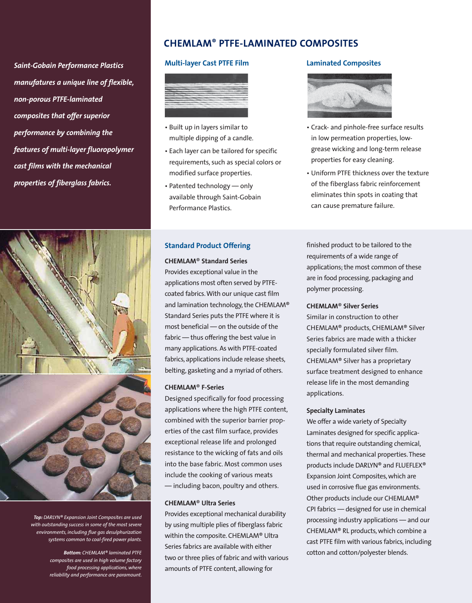*Saint-Gobain Performance Plastics manufatures a unique line of flexible, non-porous PTFE-laminated composites that offer superior performance by combining the features of multi-layer fluoropolymer cast films with the mechanical properties of fiberglass fabrics.*



*Top: DARLYN® Expansion Joint Composites are used with outstanding success in some of the most severe environments, including flue gas desulphurization systems common to coal-fired power plants.*

> *Bottom: CHEMLAM® laminated PTFE composites are used in high volume factory food processing applications, where reliability and performance are paramount.*

# **CHEMLAM® PTFE-LAMINATED COMPOSITES**

#### **Multi-layer Cast PTFE Film**



- Built up in layers similar to multiple dipping of a candle.
- Each layer can be tailored for specific requirements, such as special colors or modified surface properties.
- Patented technology only available through Saint-Gobain Performance Plastics.

#### **Standard Product Offering**

#### **CHEMLAM**® **Standard Series**

Provides exceptional value in the applications most often served by PTFEcoated fabrics. With our unique cast film and lamination technology, the CHEMLAM® Standard Series puts the PTFE where it is most beneficial — on the outside of the fabric — thus offering the best value in many applications. As with PTFE-coated fabrics, applications include release sheets, belting, gasketing and a myriad of others.

#### **CHEMLAM**® **F-Series**

Designed specifically for food processing applications where the high PTFE content, combined with the superior barrier properties of the cast film surface, provides exceptional release life and prolonged resistance to the wicking of fats and oils into the base fabric. Most common uses include the cooking of various meats — including bacon, poultry and others.

#### **CHEMLAM**® **Ultra Series**

Provides exceptional mechanical durability by using multiple plies of fiberglass fabric within the composite. CHEMLAM® Ultra Series fabrics are available with either two or three plies of fabric and with various amounts of PTFE content, allowing for

#### **Laminated Composites**



- Crack- and pinhole-free surface results in low permeation properties, lowgrease wicking and long-term release properties for easy cleaning.
- Uniform PTFE thickness over the texture of the fiberglass fabric reinforcement eliminates thin spots in coating that can cause premature failure.

finished product to be tailored to the requirements of a wide range of applications; the most common of these are in food processing, packaging and polymer processing.

#### **CHEMLAM**® **Silver Series**

Similar in construction to other CHEMLAM® products, CHEMLAM® Silver Series fabrics are made with a thicker specially formulated silver film. CHEMLAM® Silver has a proprietary surface treatment designed to enhance release life in the most demanding applications.

#### **Specialty Laminates**

We offer a wide variety of Specialty Laminates designed for specific applications that require outstanding chemical, thermal and mechanical properties. These products include DARLYN® and FLUEFLEX® Expansion Joint Composites, which are used in corrosive flue gas environments. Other products include our CHEMLAM® CPI fabrics — designed for use in chemical processing industry applications — and our CHEMLAM® RL products, which combine a cast PTFE film with various fabrics, including cotton and cotton/polyester blends.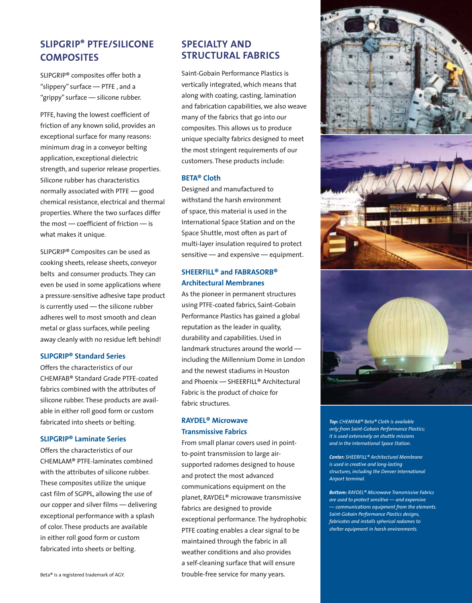# **SLIPGRIP® PTFE/SILICONE COMPOSITES**

SLIPGRIP® composites offer both a "slippery" surface — PTFE , and a "grippy" surface — silicone rubber.

PTFE, having the lowest coefficient of friction of any known solid, provides an exceptional surface for many reasons: minimum drag in a conveyor belting application, exceptional dielectric strength, and superior release properties. Silicone rubber has characteristics normally associated with PTFE — good chemical resistance, electrical and thermal properties. Where the two surfaces differ the most — coefficient of friction — is what makes it unique.

SLIPGRIP® Composites can be used as cooking sheets, release sheets, conveyor belts and consumer products. They can even be used in some applications where a pressure-sensitive adhesive tape product is currently used — the silicone rubber adheres well to most smooth and clean metal or glass surfaces, while peeling away cleanly with no residue left behind!

#### **SLIPGRIP® Standard Series**

Offers the characteristics of our CHEMFAB® Standard Grade PTFE-coated fabrics combined with the attributes of silicone rubber. These products are available in either roll good form or custom fabricated into sheets or belting.

#### **SLIPGRIP® Laminate Series**

Offers the characteristics of our CHEMLAM® PTFE-laminates combined with the attributes of silicone rubber. These composites utilize the unique cast film of SGPPL, allowing the use of our copper and silver films — delivering exceptional performance with a splash of color. These products are available in either roll good form or custom fabricated into sheets or belting.

## **SPECIALTY AND STRUCTURAL FABRICS**

Saint-Gobain Performance Plastics is vertically integrated, which means that along with coating, casting, lamination and fabrication capabilities, we also weave many of the fabrics that go into our composites. This allows us to produce unique specialty fabrics designed to meet the most stringent requirements of our customers. These products include:

#### **BETA® Cloth**

Designed and manufactured to withstand the harsh environment of space, this material is used in the International Space Station and on the Space Shuttle, most often as part of multi-layer insulation required to protect sensitive — and expensive — equipment.

### **SHEERFILL® and FABRASORB® Architectural Membranes**

As the pioneer in permanent structures using PTFE-coated fabrics, Saint-Gobain Performance Plastics has gained a global reputation as the leader in quality, durability and capabilities. Used in landmark structures around the world including the Millennium Dome in London and the newest stadiums in Houston and Phoenix — SHEERFILL® Architectural Fabric is the product of choice for fabric structures.

## **RAYDEL® Microwave Transmissive Fabrics**

From small planar covers used in pointto-point transmission to large airsupported radomes designed to house and protect the most advanced communications equipment on the planet, RAYDEL® microwave transmissive fabrics are designed to provide exceptional performance. The hydrophobic PTFE coating enables a clear signal to be maintained through the fabric in all weather conditions and also provides a self-cleaning surface that will ensure trouble-free service for many years.



*Top: CHEMFAB® Beta® Cloth is available only from Saint-Gobain Performance Plastics; it is used extensively on shuttle missions and in the International Space Station.* 

*Center: SHEERFILL® Architectural Membrane is used in creative and long-lasting structures, including the Denver International Airport terminal.*

*Bottom: RAYDEL® Microwave Transmissive Fabrics are used to protect sensitive — and expensive — communications equipment from the elements. Saint-Gobain Performance Plastics designs, fabricates and installs spherical radomes to shelter equipment in harsh environments.*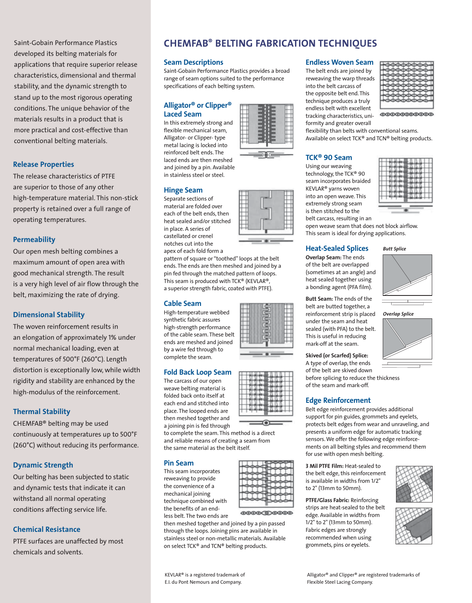Saint-Gobain Performance Plastics developed its belting materials for applications that require superior release characteristics, dimensional and thermal stability, and the dynamic strength to stand up to the most rigorous operating conditions. The unique behavior of the materials results in a product that is more practical and cost-effective than conventional belting materials.

#### **Release Properties**

The release characteristics of PTFE are superior to those of any other high-temperature material. This non-stick property is retained over a full range of operating temperatures.

#### **Permeability**

Our open mesh belting combines a maximum amount of open area with good mechanical strength. The result is a very high level of air flow through the belt, maximizing the rate of drying.

#### **Dimensional Stability**

The woven reinforcement results in an elongation of approximately 1% under normal mechanical loading, even at temperatures of 500°F (260°C). Length distortion is exceptionally low, while width rigidity and stability are enhanced by the high-modulus of the reinforcement.

#### **Thermal Stability**

CHEMFAB® belting may be used continuously at temperatures up to 500°F (260°C) without reducing its performance.

#### **Dynamic Strength**

Our belting has been subjected to static and dynamic tests that indicate it can withstand all normal operating conditions affecting service life.

#### **Chemical Resistance**

PTFE surfaces are unaffected by most chemicals and solvents.

# **CHEMFAB ® BELTING FABRICATION TECHNIQUES**

#### **Seam Descriptions**

Saint-Gobain Performance Plastics provides a broad range of seam options suited to the performance specifications of each belting system.

#### **Alligator® or Clipper® Laced Seam**

In this extremely strong and flexible mechanical seam, Alligator- or Clipper- type metal lacing is locked into reinforced belt ends. The laced ends are then meshed and joined by a pin. Available in stainless steel or steel.

#### **Hinge Seam**

Separate sections of material are folded over each of the belt ends, then heat sealed and/or stitched in place. A series of castellated or crenel notches cut into the apex of each fold form a

pattern of square or "toothed" loops at the belt ends. The ends are then meshed and joined by a pin fed through the matched pattern of loops. This seam is produced with TCK® (KEVLAR®, a superior strength fabric, coated with PTFE).

#### **Cable Seam**

High-temperature webbed synthetic fabric assures high-strength performance of the cable seam. These belt ends are meshed and joined by a wire fed through to complete the seam.

#### **Fold Back Loop Seam**

The carcass of our open weave belting material is folded back onto itself at each end and stitched into place. The looped ends are then meshed together and a joining pin is fed through

to complete the seam. This method is a direct and reliable means of creating a seam from the same material as the belt itself.

#### **Pin Seam**

This seam incorporates reweaving to provide the convenience of a mechanical joining technique combined with the benefits of an endless belt. The two ends are

then meshed together and joined by a pin passed through the loops. Joining pins are available in stainless steel or non-metallic materials. Available on select TCK® and TCN® belting products.



before splicing to reduce the thickness

Belt edge reinforcement provides additional support for pin guides, grommets and eyelets, protects belt edges from wear and unraveling, and presents a uniform edge for automatic tracking sensors. We offer the following edge reinforcements on all belting styles and recommend them for use with open mesh belting.

**3 Mil PTFE Film:** Heat-sealed to the belt edge, this reinforcement is available in widths from 1/2" to 2" (13mm to 50mm).

**PTFE/Glass Fabric:** Reinforcing strips are heat-sealed to the belt edge. Available in widths from 1/2" to 2" (13mm to 50mm). Fabric edges are strongly recommended when using grommets, pins or eyelets.



KEVLAR® is a registered trademark of E.I. du Pont Nemours and Company.

#### **Endless Woven Seam**

The belt ends are joined by reweaving the warp threads into the belt carcass of the opposite belt end. This technique produces a truly endless belt with excellent tracking characteristics, uniformity and greater overall

flexibility than belts with conventional seams. Available on select TCK® and TCN® belting products.

#### **TCK® 90 Seam**

Using our weaving technology, the TCK® <sup>90</sup> seam incorporates braided KEVLAR® yarns woven into an open weave. This extremely strong seam is then stitched to the belt carcass, resulting in an

open weave seam that does not block airflow. This seam is ideal for drying applications.

#### **Heat-Sealed Splices**

**Overlap Seam:** The ends of the belt are overlapped (sometimes at an angle) and heat sealed together using a bonding agent (PFA film).

**Butt Seam:** The ends of the belt are butted together, a reinforcement strip is placed under the seam and heat sealed (with PFA) to the belt. This is useful in reducing mark-off at the seam.

**Skived (or Scarfed) Splice:** A type of overlap, the ends of the belt are skived down

of the seam and mark-off.

#### **Edge Reinforcement**

Alligator® and Clipper® are registered trademarks of Flexible Steel Lacing Company.



00000000000







**0000CD0000**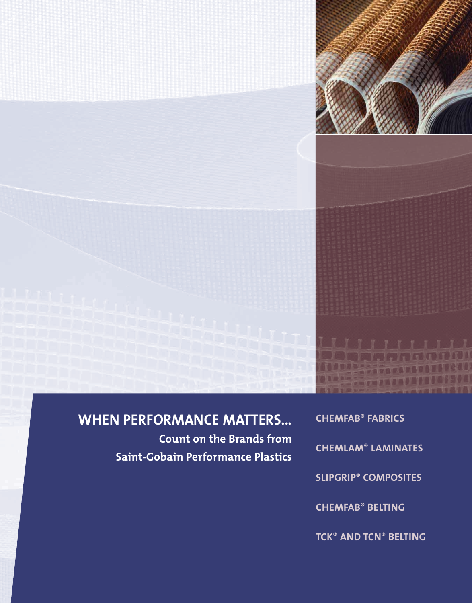

# **WHEN PERFORMANCE MATTERS...**

**Count on the Brands from Saint-Gobain Performance Plastics**

**CHEMFAB ® FABRICS CHEMLAM ® LAMINATES SLIPGRIP ® COMPOSITES CHEMFAB ® BELTING TCK ® AND TCN ® BELTING**